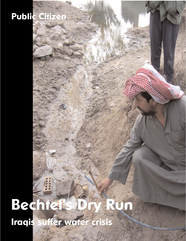# **Public Citizen**

# **Bechtel's Dry Run Iraqis suffer water crisis**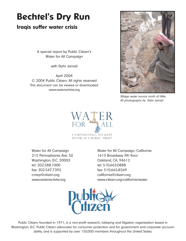## **Bechtel's Dry Run**

#### **Iraqis suffer water crisis**

A special report by Public Citizen's Water for All Campaign

with Dahr Jamail

April 2004 © 2004 Public Citizen. All rights reserved This document can be viewed or downloaded www.wateractivist.org



Village water source north of Hilla. All photographs by Dahr Jamail



215 Pennsylvania Ave. S.E 1615 Broadway 9th floor Washington, D.C. 20003 Qakland, CA. 94612 tel: 202.588.1000 tel: 510.663.0888 fax: 202.547.7392 fax: 510.663.8569 cmep@citizen.org california@citizen.org

Water for All Campaign Water for All Campaign, California www.wateractivist.org www.citizen.org/california/water



Public Citizen, founded in 1971, is a non-profit research, lobbying and litigation organization based in Washington. D.C. Public Citizen advocates for consumer protection and for government and corporate accountability, and is supported by over 150,000 members throughout the United States.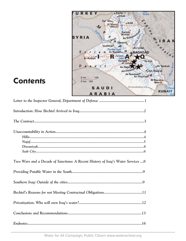

## **Contents**

| Two Wars and a Decade of Sanctions: A Recent History of Iraq's Water Services 8 |
|---------------------------------------------------------------------------------|
|                                                                                 |
|                                                                                 |
|                                                                                 |
|                                                                                 |
|                                                                                 |
|                                                                                 |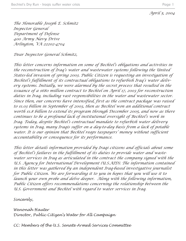#### *April 5, 2004*

*The Honorable Joseph E. Schmitz Inspector General Department of Defense 400 Army Navy Drive Arlington, VA 22202-4704*

*Dear Inspector General Schmitz,*

*This letter concerns information on some of Bechtel's obligations and activities in the reconstruction of Iraq's water and wastewater systems following the United States-led invasion of spring 2003. Public Citizen is requesting an investigation of Bechtel's fulfillment of its contractual obligations to refurbish Iraq's water delivery systems. Initially, we were alarmed by the secret process that resulted in the issuance of a \$680 million contract to Bechtel on April 17, 2003 for reconstruction duties in Iraq, including vast responsibilities in the water and wastewater sector. Since then, our concerns have intensified, first as the contract package was raised to \$1.03 billion in September of 2003, then as Bechtel won an additional contract worth \$1.8 billion to extend its program through December 2005, and now as there continues to be a profound lack of institutional oversight of Bechtel's work in Iraq. Today, despite Bechtel's contractual mandate to refurbish water delivery systems in Iraq, many Iraqis suffer on a day-to-day basis from a lack of potable water. It is our opinion that Bechtel reaps taxpayers' money without sufficient accountability or consequence for its performance.*

*This letter details information provided by Iraqi citizens and officials about some of Bechtel's failures in the fulfillment of its duties to provide water and wastewater services in Iraq as articulated in the contract the company signed with the U.S. Agency for International Development (U.S.AID). The information contained in this letter was gathered by an independent Iraq-based investigative journalist for Public Citizen. We are forwarding it to you in hopes that you will use it to launch your own probe and delve deeper. Along with the following information, Public Citizen offers recommendations concerning the relationship between the U.S. Government and Bechtel with regard to water services in Iraq.*

*Sincerely,*

*Wenonah Hauter Director, Public Citizen's Water for All Campaign*

*CC: Members of the U.S. Senate Armed Services Committee*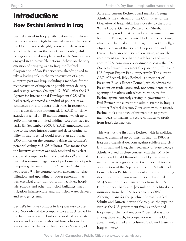### **Introduction: How Bechtel Arrived in Iraq**

Bechtel arrived in Iraq quietly. Before Iraqi military resistance around Baghdad melted away in the face of the US military onslaught, before a single armored vehicle rolled across the Iraq-Kuwait border, while the Pentagon polished war plans, and while America was engaged in an ostensible national debate on the very question of bringing war to Iraq, the Bechtel Corporation of San Francisco was already poised to take a leading role in the reconstruction of a presumptive post-war Iraq, including a mandate for the reconstruction of important potable water delivery and sewage systems. On April 17, 2003, after the US Agency for International Development (U.S.AID) had secretly contacted a handful of politically wellconnected firms to discuss their roles in reconstruction, a decision was announced. U.S.AID officially awarded Bechtel an 18 month contract worth up to \$680 million on a limited-bidding, cost-plus-fixed-fee basis. (In September 2003, U.S.AID announced that, due to the poor infrastructure and deteriorating stability in Iraq, Bechtel would receive an additional \$350 million on the contract, raising the contract's potential ceiling to  $$1.03$  billion.)<sup>i</sup> This means that the lucrative contract was only tendered to a select couple of companies behind closed doorsii and that Bechtel is ensured, regardless of performance, of profit equaling the amount of the "fixed-fee," which is kept secret.<sup>iii</sup> The contract covers assessment, rehabilitation, and upgrading of power generation facilities, electrical grids, transportation facilities, hospitals, schools and other municipal buildings, major irrigation infrastructure, and municipal water delivery and sewage systems.

Bechtel's lucrative contract in Iraq was easy to predict. Not only did the company have a track record in the field but it was tied into a network of corporate leaders and politicians who had long advocated a forcible regime change in Iraq. Former Secretary of

State and current Bechtel board member George Schultz is the chairman of the Committee for the Liberation of Iraq, which has close ties to the Bush White House. General (Retired) Jack Sheehan is a senior vice president at Bechtel and prominent member of the Pentagon-appointed Defense Policy Board, which is influential at the Pentagon. Ross Connelly, a 21-year veteran of the Bechtel Corporation, and Daniel Chao, another Bechtel executive, advise the government agencies that provide loans and insurance to U.S. companies operating overseas – the U.S. Overseas Private Investment Corporation (OPIC) and U.S. Import-Export Bank, respectively. The current CEO of Bechtel, Riley Bechtel, is a member of President Bush's Export Council, which advises the President on trade issues and, not coincidentally, the opening of markets with which to trade. As for Bechtel agents currently serving in government, L. Paul Bremer, the current top administrator in Iraq, is a former Bechtel director. Consistent with its record, Bechtel took advantage of intimate ties to government decision makers to secure contracts to profit from Iraq's destruction.

This was not the first time Bechtel, with its political muscle, drummed up business in Iraq. In 1983, as Iraq used chemical weapons against soldiers and civilians in Iran and Iraq, then Secretary of State George Schultz worked in close concert with then Middle East envoy Donald Rumsfeld to lobby the government of Iraq to sign a contract with Bechtel for the construction of the Aqaba oil pipeline. Schultz had formerly been Bechtel's president and director. Using its connections in government, Bechtel secured \$484.5 million in loan guarantees from the U.S. Export-Import Bank and \$85 million in political risk insurance from the U.S. government's OPIC. Although plans for the pipeline ultimately failed, Schultz and Rumsfeld were able to push the pipeline even as the U.S. government finally condemned Iraq's use of chemical weapons.iv Bechtel was also among those which, in cooperation with the U.S. government, armed and bolstered Saddam Hussein's Iraqi military.v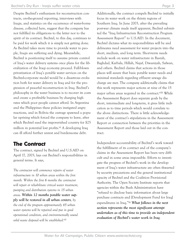Despite Bechtel's enthusiasm for reconstruction contracts, on-the-ground reporting, interviews with Iraqis, and statistics on the occurrence of water-borne disease, collected here, suggest that the company has not fulfilled its obligations to the letter nor to the spirit of its contract. Bechtel, to this day, continues to be paid for work which it is simply not getting done. As Bechtel takes more time to provide water to people, Iraqis are suffering and dying. Meanwhile, Bechtel is positioning itself to assume private control of Iraq's water delivery systems once plans for the liberalization of the Iraqi economy proceed. Full-blown privatization of Iraq's potable water services on the Bechtel-corporate model would be a disastrous evolution both for water delivery in Iraq and for the progression of peaceful reconstruction in Iraq. Bechtel's philosophy in the water business is to recover its costs and create a profitable business by charging high rates which poor people cannot afford. In Argentina and the Philippines these policies instigated angry reactions, and in Bolivia the outrage spawned a popular uprising which forced the company to leave, after which Bechtel sued the impoverished country for \$25 million in potential lost profits.<sup>vi</sup> A developing Iraq can ill afford further unrest and burdensome debt.

#### **The Contract**

The contract, signed by Bechtel and U.S.AID on April 17, 2003, lays out Bechtel's responsibilities in general terms. It says,

*The contractor will commence repairs of water infrastructure in 10 urban areas within the first month. Within the first 6 months the contractor will repair or rehabilitate critical water treatment, pumping and distribution systems in 15 urban areas. Within 12 months potable water supply will be restored in all urban centers, by the end of the program approximately 45 urban water systems will be repaired and put in good operational condition, and environmentally sound solid waste disposal will be established.vii*

Additionally, the contract compels Bechtel to initially focus its water work on the thirsty regions of Southern Iraq. In June 2003, after the prevailing post-war climate made itself apparent, Bechtel submitted the "Iraq Infrastructure Reconstruction Program Assessment Report" to U.S.AID. In the document, Bechtel dictates what its responsibilities will be and delineates need assessment for water projects into the short, medium, and long term. Short-term needs include work on water infrastructure in Basrah, Baghdad, Karbala, Hillah, Najaf, Diwaniyah, Safwan, and others. Bechtel claims that actions in those places will assure that basic potable water needs and minimal standards regarding effluent sewage discharge are met. The company additionally claims that this work represents major actions at nine of the 15 major urban areas required in the contract.<sup>viii</sup> While the Assessment Report does separate goals by the short, intermediate and long-term, it gives little indication as to time periods which would correlate to the above distinctions. There is little acknowledgement of the contract's stipulations in the Assessment Report or connection between the priorities in the Assessment Report and those laid out in the contract.

Independent accountability of Bechtel's work toward the fulfillment of its contract and of the company's claims in the Assessment Report has been very difficult and in some areas impossible. Efforts to investigate the progress of Bechtel's work in the development of Iraq's water infrastructure are often thwarted by security precautions and the general institutional opacity of Bechtel and the Coalition Provisional Authority. The Open Society Institute reports that agencies within the Bush Administration have "refused to disclose basic information about large purchase contracts and [Development Fund for Iraq] expenditures in Iraq."ix *What follows in the next section represents the most significant attempt undertaken as of this time to provide an independent evaluation of Bechtel's water work in Iraq*.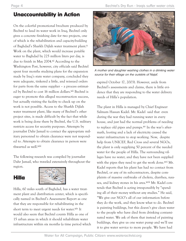#### **Unaccountability in Action**

On the colorful promotional brochure produced by Bechtel to laud its water work in Iraq, Bechtel only gives a concrete finishing date for two projects, one of which is the rehabilitation and capacity-building of Baghdad's Sharkh Dijlah water treatment plant.<sup>x</sup> Work on the plant, which would increase potable water to Baghdad by 225 million liters per day, is due to finish in May 2004.<sup>xi</sup> According to the Washington Post, however, city officials said Bechtel spent four months studying plans for the expansion made by Iraq's state water company, concluded they were adequate, tinkered a little, and reissued orders for parts from the same supplier – a process estimated by Bechtel to cost 16 million dollars.<sup>xii</sup> Bechtel is eager to promote this alleged reconstruction success, but actually visiting the facility to check up on the work is not possible. Access to the Sharkh Dijlah water treatment plant, like many of Bechtel's other project sites, is made difficult by the fact that while work is being done there by Bechtel, the U.S. military restricts access for security purposes. Attempts by journalist Dahr Jamail to contact the appropriate military personnel to obtain clearance were not responded to. Attempts to obtain clearance in person were thwarted as well.xiii

The following research was compiled by journalist Dahr Jamail, who traveled extensively throughout the region.

#### **Hilla**



Hilla, 60 miles south of Baghdad, has a water treatment plant and distribution center, which is specifically named in Bechtel's Assessment Report as one that they are responsible for rehabilitating in the short term to meet urgent needs for water.<sup>xiv</sup> It would also seem that Bechtel counts Hilla as one of 15 urban areas in which it should rehabilitate water infrastructure within six months (a time period which



A mother and daughter washing clothes in a drinking water source for their village on the outskirts of Najaf.

expired October 17, 2003). However, aside from Bechtel's assessments and claims, there is little evidence that they are responding to the water delivery needs of Hilla's population.

The plant in Hilla is managed by Chief Engineer Salmam Hassan Kadel. Mr. Kadel said that even during the war they had running water in every house, and just had the normal problems of needing to replace old pipes and pumps.<sup>xv</sup> In the war's aftermath, looting and a lack of electricity caused the water infrastructure to stop working. Now, despite help from UNICEF, Red Cross and several NGOs, the plant is only supplying 50 percent of the needed water for the people of Hilla. The surrounding villages have no water, and they have not been supplied with the pipes they need to get the work done.<sup>xvi</sup> Mr. Kadel reports that his plant has had no contact from Bechtel, or any of its subcontractors, despite complaints of massive outbreaks of cholera, diarrhea, nausea, and kidney stones in his area.<sup>xvii</sup> Mr. Kadel contends that Bechtel is acting irresponsibly by "spending all of their money without any studies." He said, "We give our NGO's all of our information before they do the work, and they know what to do. Bechtel is painting buildings, but this doesn't give clean water to the people who have died from drinking contaminated water. We ask of them that instead of painting buildings, they give us one water pump and we'll use it to give water service to more people. We have had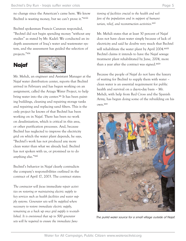no change since the American's came here. We know Bechtel is wasting money, but we can't prove it."xviii

Bechtel spokesman Francis Canavan responded, "Bechtel did not begin spending money "without any studies" as stated by Mr. Kadel: We conducted an indepth assessment of Iraq's water and wastewater system, and the assessment has guided the selection of projects."xix





Mr. Mehdi, an engineer and Assistant Manager at the Najaf water distribution center, reports that Bechtel arrived in February and has begun working on an assignment, called the Arzaga Water Project, to help bring water into the city center.<sup>xx</sup> It has been painting buildings, cleaning and repairing storage tanks and repairing and replacing sand filters. This is the only project he knows of that Bechtel has been working on in Najaf. There has been no work on desalinization, which is critical in this area, or other purification processes. And, because Bechtel has neglected to improve the electricity grid on which the water plant depends, he says, "Bechtel's work has not produced any more clean water than what we already had. Bechtel has not spoken with us, or promised us to do anything else."xxi

Bechtel's behavior in Najaf clearly contradicts the company's responsibilities outlined in the contract of April 17, 2003. The contract states:

*The contractor will focus* immediate *repair activities on restoring or maintaining electric supply to key services such as health facilities and water supply systems. Generator sets will be supplied where necessary to restore immediate electric supply, remaining as a back up once grid supply is re-established. It is envisioned that up to 500 generator sets will be required to ensure the immediate func-* *tioning of facilities crucial to the health and welfare of the population and in support of humanitarian, relief, and reconstruction activities.xxii*

Mr. Mehdi states that at least 30 percent of Najaf does not have clean water simply because of lack of electricity and said he doubts very much that Bechtel will rehabilitate the water plant by April 2004.<sup>xxiii</sup> Bechtel claims it intends to have the Najaf sewage treatment plant rehabilitated by June, 2004, more than a year after the contract was signed.<sup>xxiv</sup>

Because the people of Najaf do not have the luxury of waiting for Bechtel to supply them with water – clean water is an essential requirement for public health and survival on a day-to-day basis – Mr. Mehdi, with help from Red Cross and the Spanish Army, has begun doing some of the rebuilding on his own.xxv



The putrid water source for a small village outside of Najaf.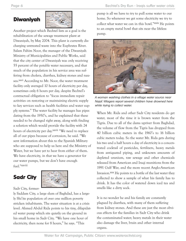#### **Diwaniyah**



Another project which Bechtel lists as a goal is the rehabilitation of the sewage treatment plant at Diwaniyah, by May 2004. This plant is currently discharging untreated waste into the Euphrates River. Salam Fahim Noor, the manager of the Diwaniyah Ministry of Municipalities and Public Works, said that the city center of Diwaniyah was only receiving 55 percent of the potable water necessary, and that much of the population in his service area was suffering from cholera, diarrhea, kidney stones and nausea.<sup>xxvi</sup> According to Mr. Noor, the water treatment facility only averaged 10 hours of electricity per day, sometimes only 6 hours per day, despite Bechtel's contractual obligation to "focus immediate repair activities on restoring or maintaining electric supply to key services such as health facilities and water supply systems." The water facility he manages has pipes dating from the 1950's, and he explained that these needed to be changed right away, along with finding a solution which would provide the facility with 24 hours of electricity per day.<sup>xxvii</sup> "We need to replace all of our pipes because of corrosion, he said. "We sent information about this to the Spanish Military who are supposed to help us here and the Ministry of Water, but we have yet to hear from either of them. We have electricity, in that we have a generator for our water pumps, but we don't have enough fuel."xxviii

#### **Sadr City**

Sadr City, former-



ly Saddam City, a large slum of Baghdad, has a largely Shi'ite population of over one million poverty stricken inhabitants. The water situation is at a crisis level. Ahmed Abdul Rida points to his tiny, dilapidated water pump which sits quietly on the ground in his small home in Sadr City. "We have one hour of electricity, then none for 8 hours," he says. "This

pump is all we have to try to pull some water to our home. So whenever we get some electricity we try to collect what water we can in this bowl."xxix He points to an empty metal bowl that sits near the lifeless pump.



A woman washing clothes in a village water source near Najaf. Villagers report several children have drowned here while trying to collect water.

When Mr. Rida and other Sadr City residents do get water, most of the time it is brown water from the Tigris. Due to all of the dams upriver from Baghdad, the volume of flow from the Tigris has dropped from 40 billion cubic meters in the 1960's to 16 billion cubic meters today. So the water Mr. Rida gets during his two and a half hours a day of electricity is a concentrated cocktail of pesticides, fertilizers, heavy metals from antiquated piping, and unknown amounts of depleted uranium, raw sewage and other chemicals released from American and Iraqi munitions from the 1991 Gulf War, and the more recent Anglo-American Invasion.xxx He points to a bottle of the last water they collected to show a sample of what his family has to drink. It has the color of watered down iced tea and smells like a dirty sock.

It is no wonder he and his family are constantly plagued by diarrhea, with many of them suffering from kidney stones. And these are just the most obvious effects for the families in Sadr City who drink the contaminated water; heavy metals in their water also damage the liver, brain and other internal organs.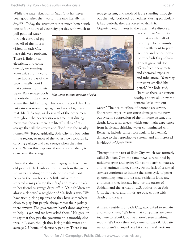pull polluted water through corroded piping. All of the houses visited in Sadr City have this very problem. There is little or no electricity, and consequently no running water aside from two to three hours a day of the brown smelly liquid that sputters from their pipes. Raw sewage pools up outside in the streets



Idle water pumps outside of Hilla.

where the children play. This was on a good day. The last rain was several days ago, and not a big one at that. Mr. Rida says, as do several of the other men throughout the poverty-stricken area, that during most rain showers there are literally lakes of raw sewage that fill the streets and flood into the nearby homes.xxxii Topographically, Sadr City is a low point in the region, so most of the water flows towards it, carrying garbage and raw sewage when the rains come. When this happens, there is no capability to draw away the sewage.

Down the street, children are playing catch with an old piece of black rubber until it lands in the greenish water standing on the side of the small road between the two houses. A little girl with dirt smeared arms picks up their 'toy' and tosses it back to her friend as sewage drips off it. "Our children are always sick here," a neighbor of Mr. Rida's says. "We have tried picking up areas so they have somewhere clean to play, but people always throw their garbage there anyway. The government hasn't done anything to help us yet, and we have asked them." He goes on to say that they pay the government a monthly electrical bill, even though they lack potable water and average 2.5 hours of electricity per day. There is no

sewage system, and pools of it are standing throughout the neighborhood. Sometimes, during particularly bad periods, they are forced to drink it.

Organic contaminants in the water make disease a

way of life in Sadr City, but that is only half of the story. The proximity of the settlement to petrol facilities and other industry puts Sadr City inhabitants at grave risk for effects from heavy metal and chemical exposure and inhalation. "Yesterday our water smelled like petrol," Mr Rida said, "because there is a station

nearby, and we all know the benzene leaks into our

water." The health effects of benzene are severe. Short-term exposure can cause damage to the nervous system, suppression of the immune system, and death. Long-term effects, which one might experience from habitually drinking water contaminated with Benzene, include cancer (particularly Leukemia), damage to the reproductive system, and an increased likelihood of death.xxxiii

Throughout the rest of Sadr City, which was formerly called Saddam City, the same news is recounted by residents again and again: Constant diarrhea, nausea, and oftentimes kidney stones. As the lack of essential services continues to initiate the same cycle of poverty, unemployment and disease, residents loose any enthusiasm they initially held for the ouster of Saddam and the arrival of U.S. authority. In Sadr City, the hearts and minds are busy coping with death and disease.

A man, a resident of Sadr City, who asked to remain anonymous says, "We hear that companies are coming here to rebuild, but we haven't seen anything rebuilt. We know they only came for the oil. Our situation hasn't changed one bit since the Americans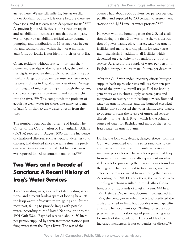arrived here. We are still suffering just as we did under Saddam. But now it is worse because there are fewer jobs, and it is even more dangerous for us."xxxiv As previously noted, Bechtel's infrastructure repair and rehabilitation contract states that the company was to repair or rehabilitate critical water treatment, pumping, and distribution in 15 urban areas in central and southern Iraq within the first 6 months. Sadr City, obviously, is not high on their priority list.

Often, residents without service in or near their homes must trudge to the water's edge, the banks of the Tigris, to procure their daily water. This is a particularly dangerous problem because very few sewage treatment plants in Baghdad are operational. Sewage from Baghdad might get pumped through the system, completely bypass any treatment, and course right into the river. xxxv This compounds the problem of acquiring clean water for those, like many residents of Sadr City, that go draw water directly from the river.

The numbers bear out the suffering of Iraqis. The Office for the Coordination of Humanitarian Affairs (OCHA) reported in August 2003 that the incidence of diarrhoeal diseases, such as typhoid, dysentery and cholera, had doubled since the same time the previous year. Seventy percent of all children's sickness was reported linked to contaminated water.<sup>xxxvi</sup>

#### **Two Wars and a Decade of Sanctions: A Recent History of Iraq's Water Services**

Two devastating wars, a decade of debilitating sanctions, and a recent lawless spate of looting have left the Iraqi water infrastructure struggling and, for the most part, failing to provide Iraqis with potable water. According to the United Nations, prior to the 1991 Gulf War, "Baghdad received about 450 liters per person supplied by seven treatment stations purifying water from the Tigris River. The rest of the

country had about 200-250 liters per person per day, purified and supplied by 238 central water-treatment stations and 1,134 smaller water projects."xxxvii

However, with the bombing from the U.S.-led coalition during the first Gulf war came the vast destruction of power plants, oil refineries, water treatment facilities and manufacturing plants for water treatment chemicals. In addition, all facilities which depended on electricity for operation went out of service. As a result, the supply of water per person in Baghdad dropped to less than 10 liters per day.xxxviii

After the Gulf War ended, recovery efforts brought supplies back up to what was still less than ten percent of the previous overall usage. Fuel for backup generators was in short supply, as were parts and manpower necessary to run backup devices. Bombed water treatment facilities, and the bombed electrical facilities that supported the water plants, were unable to operate to stem the release of untreated sewage directly into the Tigris River, which is the primary source of water for Baghdad and most of the rest of Iraq's water treatment plants.

During the following decade, delayed effects from the Gulf War combined with the strict sanctions to create a water scarcity-driven humanitarian crisis of immense proportions. The sanctions prevented Iraq from importing much specialty equipment on which it depends for processing the brackish water found in the region. Chemicals used to treat water, such as chlorine, were also barred from entering the country. According to UNICEF and others, the water servicescrippling sanctions resulted in the deaths of some hundreds of thousands of Iraqi children.xxxix In a 1991 Defense Department document declassified in 1995, the Pentagon revealed that it had predicted the crisis and acted to limit Iraqi potable water capability anyway. The document says, "Failing to secure supplies will result in a shortage of pure drinking water for much of the population. This could lead to increased incidences, if not epidemics, of disease."xl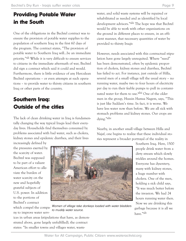#### **Providing Potable Water in the South**

One of the obligations in the Bechtel contract was to ensure the provision of potable water supplies to the population of southern Iraq in the first 60 days of the program. The contract states, "The provision of potable water to Southern Iraq will…be an immediate priority."xli While it is very difficult to ensure services to citizens in the immediate aftermath of war, Bechtel did sign a contract which said it could and would. Furthermore, there is little evidence of any Herculean Bechtel operations – or even attempts at such operations – to provide water to thirsty citizens in southern Iraq or other parts of the country.

#### **Southern Iraq: Outside of the cities**

The lack of clean drinking water in Iraq is fundamentally changing the way typical Iraqis lead their everyday lives. Households find themselves consumed by problems associated with bad water, such as cholera, kidney stones and epidemic diarrhea, and their lives

ices in urban areas (stipulations that have, as demonstrated above, gone largely unfulfilled), the contract

water, and solid waste systems will be repaired or rehabilitated as needed and as identified by local development advisors."xlii The hope was that Bechtel would be able to work with other organizations on the ground in different places to ensure, in an efficient manner, that necessary quantities of water be provided to thirsty Iraqis

However, needs associated with this contractual stipulation have gone largely unrequited. Where "need" has been demonstrated, often by epidemic proportion of cholera, kidney stones and diarrhea, Bechtel has failed to act. For instance, just outside of Hilla, several men of a small village tell the usual story – no running water, maybe two to four hours of electricity per day to run their feeble pumps to pull in contaminated water for them to use.xliii One of the older men in the group, Hussin Hamsa Nagem, says, "This is just like Saddam's time. In fact, it is worse. We have less water now than before. We are all sick with stomach problems and kidney stones. Our crops are dying."xliv

Nearby, in another small village between Hilla and Najaf, one begins to realize that these individual stories represent a broader portrayal of the reality in

increasingly defined by the pressures exerted by the scarcity of water. Bechtel was supposed to be part of a valiant American effort to alleviate the burden of water scarcity on the new and hopefully grateful subjects of U.S. power. In addition to the portions of Bechtel's contract which compel the company to improve water serv-



Women of village take donkeys loaded with water bladders to muddy water source.

Southern Iraq. Here, 1500 people drink water from a dirty stream which slowly trickles around the homes. Everyone has dysentery, many with kidney stones, a huge number with cholera. One of the men, holding a sick child says, "It was much better before the invasion. We had 24 hours running water then. Now we are drinking this garbage because it is all we have."xlv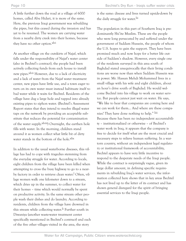A little further down the road at a village of 6000 homes, called Abu Hidari, it is more of the same. Here, the previous Iraqi government was rebuilding the pipes, but this ceased during the invasion and has yet to be resumed. The women are carrying water from a nearby dirty creek into their homes, because they have no other option.<sup>xlvi</sup>

At another village on the outskirts of Najaf, which falls under the responsibility of Najaf's water center (also in Bechtel's contract), the people had been actively collecting funds from each house to install new pipes.xlvii However, due to a lack of electricity and a lack of water from the Najaf water treatment center, new pipes have little use, and a town eager to turn on its own water must instead habituate itself to bad water while it waits for Bechtel. Residents of the village have dug a large hole and tapped into already existing pipes to siphon water. (Bechtel's Assessment Report states that they intend to resolve illegal water taps on the network by providing an acceptable substitute that reduces the potential for contamination of the water supply.xlviii) Overnight, the earthen hole fills with water. In the morning, children stand around it as women collect what little bit of dirty water stands in the bottom of the hole.<sup>xlix</sup>

In addition to the usual waterborne diseases, this village has had to cope with tragedies stemming from the everyday struggle for water. According to locals, eight children from the village have been killed when attempting to cross the busy highway to go to a nearby factory in order to retrieve clean water.<sup>1</sup> Often, village women walk one kilometer down to a stream, which dries up in the summer, to collect water for their homes – time which would normally be spent on productive activity. In the same stream other people wash their dishes and do laundry. According to residents, children from the village have drowned in this stream while collecting water.<sup>li</sup> Further south in Diwaniya (another waste-water treatment center specifically mentioned in Bechtel's contract) and each of the five other villages visited in the area, the story

is the same: disease and lives turned upside-down by the daily struggle for water.<sup>lii</sup>

The population in this part of Southern Iraq is predominantly Shi'ite Muslim. These are the people who were long persecuted by and suffered under the government of Saddam Hussein, the people of whom the U.S. hopes to gain the support. They have been promised much and now hope for a better life outside of Saddam's shadow. However, every single one of the residents surveyed in this area south of Baghdad stated unequivocally that their living conditions are worse now than when Saddam Hussein was in power. Mr. Hassan Mehdi Mohammed lives in a small village with his wife and eight children, about an hour's drive south of Baghdad. He would welcome Bechtel into his village to work on water service. But people cannot just wait on water. He says, "We like to hear that companies are coming here and we can work for them… And where are these companies? They have done nothing to help." liii Because there has been no independent accountability – institutionalized or otherwise – of Bechtel's water work in Iraq, it appears that the company is free to decide for itself what are the most crucial and necessary steps to relieve human suffering. In a wartorn country, without an independent legal regulatory or institutional framework of accountability, Bechtel appears to have very little incentive to respond to the desperate needs of the Iraqi people. While the contract is surprisingly vague, given its large dollar amount, in defining specific requirements in rebuilding Iraq's water services, the information collected here shows that in key areas Bechtel has not lived up to the letter of its contract and has shown general disregard for the spirit of bringing essential services to the Iraqi people.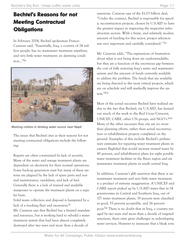#### **Bechtel's Reasons for not Meeting Contractual Obligations**

In February 2004, Bechtel spokesman Francis Canavan said, "Essentially, Iraq, a country of 24 million people, has no wastewater treatment anywhere, and very little water treatment; an alarming condition…"liv



Washing clothes in drinking water source near Najaf.

The issues that Bechtel cites as their reasons for not meeting contractual obligations include the following:

Repairs are often constrained by lack of security. Many of the water and sewage treatment plants are dependent on electricity for their normal operations. Some back-up generators exist but many of these systems are plagued by the lack of spare parts and normal maintenance, vandalism, and lack of fuel. Generally there is a lack of trained and available manpower to operate the treatment plants on a regular basis.

Solid waste collection and disposal is hampered by a lack of a trucking fleet and excavators.<sup>lv</sup>

Mr. Canavan says that Bechtel has a limited mandate and resources, but is working hard to rebuild a water treatment system that had been almost completely destroyed after two wars and more than a decade of

sanctions. Canavan says of the \$1.03 billion deal, "Under the contract, Bechtel is responsible for specific reconstruction projects, chosen by U.S.AID to have the greatest impact in improving the respective infrastructure sectors. With a finite, and relatively modest, amount of funding for this sector, project selection was very important and carefully considered." lvi

Mr. Canavan adds, "The expressions of frustration about what is not being done are understandable; but they are a function of the enormous gap between the cost of fully restoring Iraq's water and wastewater system and the amount of funds currently available to address the problem. The funds that are available are being directed to the most critical projects, which are on schedule and will markedly improve the system."lvii

Most of the actual successes Bechtel have realized are due to the fact that Bechtel, via U.S.AID, has farmed out much of the work to the Red Cross/Crescent, UNICEF, CARE, other UN groups, and NGO's.lviii Many of the other successes they cite are no more than planning efforts, rather than actual reconstruction or rehabilitation projects completed on the ground. Examples of this include Bechtel's preliminary estimates for repairing water treatment plants in eastern Baghdad that would increase treated water by 45 percent, and rehabilitation plans for eight potable water treatment facilities in the Basra region and six wastewater treatment plants in south central Iraq.

In addition, Canavan's glib assertion that there is no wastewater treatment and very little water treatment is a product of extreme exaggeration. A UNICEF and CARE report picked up by U.S.AID states that in 14 governorates in Central and Southern Iraq, out of 177 water treatment plants, 19 percent were classified as good, 55 percent acceptable, and 26 percent poor.lix There is no doubt that in Iraq, a country ravaged by two wars and more than a decade of targeted sanctions, there exist great challenges in redeveloping water services. However to insinuate that a bleak *terra*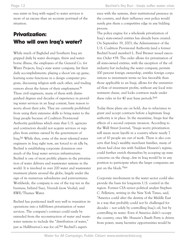*rasa* exists in Iraq with regard to water services is more of an excuse than an accurate portrayal of the situation.

#### **Privatization: Who will own Iraq's water?**

While much of Baghdad and Southern Iraq are gripped daily by water shortages, thirst and waterborne illness, the employees of the General Co. for Water Projects, Iraq's state water company, list their daily accomplishments: playing a shoot-'em up game, learning some functions in a design computer program, discussing religion with each other, and trading rumors about the future of their employment.<sup>1x</sup> These civil engineers, many of them with distinguished degrees and decades of experience in providing water services in an Iraqi context, have reason to worry about their jobs. They are currently prohibited from using their extensive skills to bring water to the Iraqi people because of Coalition Provisional Authority guidelines which state that U.S. agencies and contractors should not acquire services or supplies from entities owned by the government of Iraq.lxi While they, some of the most talented water engineers in Iraq right now, are forced to sit idly by, Bechtel is establishing corporate dominion over much of the Iraqi water services infrastructure. Bechtel is one of most prolific players in the privatization of water delivery and wastewater systems in the world. It is involved in over 200 water and wastewater treatment plants around the globe, largely under the sign of its numerous subsidiaries and joint-ventures. Worldwide, the company is one of the top ten in the business, behind Suez, Vivendi (now Veolia), and RWE/Thames Water.

Bechtel has positioned itself very well to transition its operations into a full-blown privatization of water services. The company's contract could easily be extended from the reconstruction of water and wastewater systems to include the "distribution of water," just as Halliburton's was for oil. Kii Bechtel's experience with the systems, their institutional presence in the country, and their influence over policy would surely give them a competitive edge in any bidding process.

The policy engine for a wholesale privatization of Iraq's state-owned entities has already been created. On September 19, 2003, the Administrator of the U.S. Coalition Provisional Authority (and a former Bechtel board member) L. Paul Bremer issued executive Order #39. The order allows for privatization of all state-owned entities, with the exception of the oil industry but including the water company, permits 100 percent foreign ownership, entitles foreign corporations to investment terms no less favorable than those applicable to an Iraqi, allows for the unrestricted flow of investment profits, without any local reinvestment clause, and locks contracts made under these rules in for 40 year lease periods.<sup>1xiii</sup>

Today these plans are on hold, due to reluctance to grant and accept contracts before a legitimate Iraqi authority is in place. In the meantime, Iraqis fear the effects of a second *corporate* invasion. According to the Wall Street Journal, "Iraqis worry privatization will mean more layoffs in a country where nearly 7 out of 10 people are out of work. There is also concern that Iraq's wealthy merchant families, many of whom had close ties with Saddam Hussein's regime, could further enrich themselves by scooping up state concerns on the cheap…few in Iraq would be in any position to participate when the larger companies are put on the block."lxiv

Corporate involvement in the water sector could also provide the basis for long-term U.S. control in the region. Former CIA senior political analyst Stephen C. Pelletiere, writing in the New York Times, said, "America could alter the destiny of the Middle East in a way that probably could not be challenged for decades – not solely by controlling Iraq's oil, but by controlling its water. Even if America didn't occupy the country, once Mr. Hussein's Baath Party is driven from power, many lucrative opportunities would be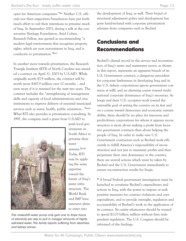open for American companies."lxv Neither U.S. officials nor their supporters/benefactors have put forth much effort to veil their intentions to privatize much of Iraq. In September 2003, during a talk at the conservative Heritage Foundation, Ariel Cohen, Research Fellow, was quoted as recommending "a modern legal environment that recognizes property rights, which are now non-existent in Iraq, and is conducive to privatization."lxvi

In another move towards privatization, the Research Triangle Institute (RTI) of North Carolina was awarded a contract on April 11, 2003 by U.S.AID. While originally worth \$7.9 million, the contract will be worth more \$167.9 million over 12 months – and even more if it is renewed for the next two years. The contract includes the "strengthening of management skills and capacity of local administrations and civic institutions to improve delivery of essential municipal services such as water, health, public sanitation..."<sup>Ixvii</sup> What RTI also provides is privatization consulting. In 1997, the company used a grant from U.S.AID to



push local governments in South Africa to privatize their water systems.lxviii Today, RTI may be applying the same expertise toward the future of Iraq's water infrastructure. The World Bank and IMF have extensive plans to enter into

This makeshift water pump only gets one to three hours of electricity per day to pull in meager amounts of highly salinated water. The family reports suffering from dearrhea and kidney stones.

the development of Iraq, as well. Their brand of structural adjustment policy and development has gone hand-in-hand with corporate privatization schemes from companies such as Bechtel.

#### **Conclusions and Recommendations**

Bechtel's dismal record in the service and reconstruction of Iraq's water and wastewater sector, as shown in this report, represents an apparent breach of its U.S. Government contract, a dangerous precedent for corporate lawlessness in developing Iraq and in the U.S. (where corporations ignore government contracts at will), and an alarming course toward multinational corporate dominance of Iraq's resources. As Iraqis and their U.S. occupiers work toward the ostensible goal of setting the country on its feet and on a course toward democracy and economic sustainability, there should be no place for timorous and profit-driven corporations for whom it appears reconstruction is more about making a profit from lucrative government contracts than about helping the people of Iraq. In order to make sure U.S. Government contractors such as Bechtel work efficiently to fulfill America's responsibility of reconstruction and not just to maximize profits and then perpetuate their own dominance in the country, there are several actions which must be taken by Bechtel and the U.S. Government immediately to ensure reconstruction results for Iraqis.

*\** A broad Federal government investigation must be launched to scrutinize Bechtel's expenditures and actions in Iraq, with the power to impose or seek punitive measures for contract violations and overexpenditure, and to provide oversight, regulation and accountability of Bechtel's work in the application of its contract. No entity whatsoever should be trusted to spend \$1.03 billion million without firm independent regulation. The U.S. Congress should be informed of the findings.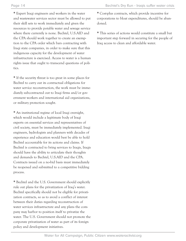*\** Expert Iraqi engineers and workers in the water and wastewater services sector must be allowed to put their skill sets to work immediately and given the resources to provide potable water and sewage service where there currently is none. Bechtel, U.S.AID and the CPA should work together to create an exemption to the CPA order which bars contracting with Iraqi state companies, in order to make sure that this indigenous capacity for the development of water infrastructure is exercised. Access to water is a human rights issue that ought to transcend questions of politics.

*\** If the security threat is too great in some places for Bechtel to carry out its contractual obligations for water service reconstruction, the work must be immediately subcontracted out to Iraqi firms and/or government workers and international aid organizations, or military protection sought.

*\** An institutional regime of local Iraqi oversight, which would include a legitimate body of Iraqi experts on essential services and representatives of civil society, must be immediately implemented. Iraqi engineers, hydrologists and planners with decades of experience and education would best be able to hold Bechtel accountable for its actions and claims. If Bechtel is contracted to bring services to Iraqis, Iraqis should have the ability to articulate their thoughts and demands to Bechtel, U.S.AID and the CPA. Contracts issued on a no-bid basis must immediately be reopened and submitted to a competitive bidding process.

*\** Bechtel and the U.S. Government should explicitly rule out plans for the privatization of Iraq's water. Bechtel specifically should not be eligible for privatization contracts, so as to avoid a conflict of interest between their duties regarding reconstruction of water services infrastructure and any plans the company may harbor to position itself to privatize the water. The U.S. Government should not promote the corporate privatization of water as part of its foreign policy and development initiatives.

*\** Cost-plus contracts, which provide incentive for corporations to bloat expenditures, should be abandoned.

*\** This series of actions would constitute a small but important step forward in securing for the people of Iraq access to clean and affordable water.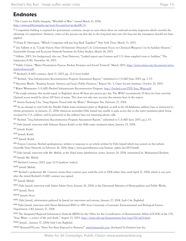#### **Endnotes**

i The Center for Public Integrity, "Windfall of War," viewed March 11, 2004, http://www.publicintegrity.org/wow/bio.aspx?act=pro&ddlC=6.

ii Competitive bidding is required for government contracts, except in cases where there are national security exigencies which override the advantage of competition. However, critics of the process say that due to the long lead time into the Iraq war the exemption should not have applied.

iii Diana B. Henriques, "Which Companies will put Iraq Back Together?" New York *Times*, March 23, 2003.

iv Jim Vallette et al, "Crude Vision: How Oil Interests Obscured U.S. Government Focus on Chemical Weapons Use by Saddam Hussein," Sustainable Energy and Economy Network/Institute for Policy Studies, March 24, 2003.

v Vallette, 2003. For background, also see, Tony Patterson, "Leaked report says German and U.S. firms supplied arms to Saddam," The *Independent* (UK), December 18, 2003.

vi Public Citizen, "Water Privatization Fiascos: Broken Promises and Social Turmoil," March 2003, http://www.citizen.org/documents/privatizationfiascos.pdf.

vii Bechtel-U.S.AID contract, April 17, 2003, pg. 12-13 (our bolds).

viii Bechtel, "Iraq Infrastructure Reconstruction Program Assessment Report," submitted to U.S.AID June 2003, pg. 2.3-5.

ix Revenue Watch, "Keeping Secrets: America and Iraq's Public Finances," Report No. 3, Open Society Institute, October 20, 2003.

x Water/Wastewater: U.S.AID/Bechtel Infrastructure Reconstruction Program, http://bechtel.com/PDF/Iraq\_Water.pdf.

xi By rough estimate, this would equal, in Baghdad, about 40 liters per person per day. The WHO recommends 25 liters for basic survival. Optimal access would be about 100 liters of water. This does not take into account the extreme heat in the region.

xii Ariana Eunjung Cha, "Iraqi Experts Tossed with the Water," *Washington Post*, February 27, 2004.

xiii In an attempt to visit both the Sharkh Dijlah water treatment plant in Baghdad, as well as the Al-Adahmiya military base as instructed to obtain permission on January, 27, 2004, American journalist Dahr Jamail was unable to gain access due to the water treatment plant being occupied by U.S. soldiers, and by personnel at the military base not returning phone calls.

xiv Bechtel, "Iraq Infrastructure Reconstruction Program Assessment Report," submitted to U.S.AID June 2003, pg 2.3-5.

xv Dahr Jamail, interview with Salmam Hassan Kadel, at the Hilla water treatment plant, January 25, 2004.

xvi Jamail, Kadel.

xvii Jamail, Kadel.

xviii Jamail, Kadel.

xix Francis Canavan, Bechtel spokesperson, written in response to an article written by Dahr Jamail which was posted on the website Guerrilla News Network on February 18, 2004. (http://www.guerrillanews.com/human\_rights/doc3833.html).

xx Dahr Jamail, interview with Mr. Mehdi, at the Najaf water distribution center, January 26, 2004, interpreted by. Mohammed Ibrahim.

xxi Jamail, Mr. Mehdi.

xxii Bechtel Contract, 2003, page 12-13 (authors' italics).

xxiii Jamail, Mehdi.

xxiv Bechtel's spokesman Mr. Canavan insists their contract goes until the end of 2004 rather than until April 17, 2004, which is one year after the initial Bechtel-U.S.AID contract was signed.

xxv Jamail, Mehdi.

xxvi Dahr Jamail, interview with Salam Fahim Noor, January 26, 2004, at the Diwaniyah Ministry of Municipalities and Public Works.

xxvii Jamail, Noor.

xxviii Jamail, Noor.

xxix Dahr Jamail, information gathered by Jamail via interviews and surveys, January 17, 2004, Sadr City, Baghdad.

xxx Dahr Jamail, interview with Husni Mohamed (PhD in 1991 from University of Lancaster Environmental and Biological Science Department, UK), January 17, 2004.

xxxi The Integrated Regional Information Network (IRIN) for the Office for the Coordination of Humanitarian Affairs (OCHA) of the UN, "Iraq: Water - a source of life and death," August 13, 2003. http://www.cidi.org/humanitarian/hsr/iraq/03b/ixl21.html.

xxxii Jamail, , January 17, 2004, Sadr City, Baghdad.

xxxiii BenzeneFYI.com, "Have You Been Exposed to Benzene?" www.benzenefyi.com, developed by Einstein Law Inc.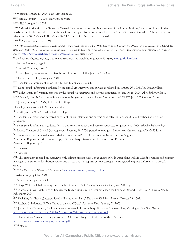xxxiv Jamail, January 17, 2004, Sadr City, Baghdad.

xxxv Jamail, January 17, 2004, Sadr City, Baghdad.

xxxvi IRIN, August 13, 2003.

xxxvii Martti Ahtisaari, Under-Secretary- General for Administration and Management of the United Nations, "Report on humanitarian needs in Iraq in the immediate post-crisis environment by a mission to the area led by the Under-Secretary- General for Administration and Management 10-17 March 1991," March 20, 1991, the United Nations, section C-20.

xxxviii Ahtisaari, March 20, 1991.

xxxix "If the substantial reduction in child mortality throughout Iraq during the 1980s had continued through the 1990s, there would have been **half a mil***lion fewer deaths of children under-five in the country as a whole during the eight year period 1991 to 1998."* Iraq surveys show 'humanitarian emergency,' http://www.unicef.org/newsline/99pr29.htm, 12 August 1999.

xl Defense Intelligence Agency, Iraq Water Treatment Vulnerabilities, January 18, 1991, www.gulflink.osd.mil.

xli Bechtel Contract, page 7

xlii Bechtel Contract, page 13

xliii Dahr Jamail, interview at rural farmhouse 5km north of Hilla, January 25, 2004.

xliv Jamail, near Hilla, January 25, 2004.

xlv Dahr Jamail, interview at village of Albu Nayif, January 25, 2004.

xlvi Dahr Jamail, information gathered by the Jamail via interviews and surveys conducted on January 26, 2004, Abu Hidari village.

xlvii Dahr Jamail, information gathered by the Jamail via interviews and surveys conducted on January 26, 2004, Al-Radathiya village..

xlviii Bechtel, "Iraq Infrastructure Reconstruction Program Assessment Report," submitted to U.S.AID June 2003, section 2.3-6.

xlix Jamail, January 26, 2004, Al-Radathiya village.

l Jamail, January 26, 2004, Al-Radathiya village.

li Jamail, January 26, 2004, Al-Radathiya village.

lii Dahr Jamail, information gathered by the author via interviews and surveys conducted on January 26, 2004, village just north of Diwaniya.

liii Dahr Jamail, information gathered by the author via interviews and surveys conducted on January 26, 2004, Al-Bebealkabir village.

liv Francis Canavan of Bechtel (spokesperson), February 18, 2004, posted to www.guerrillanews.com/human\_rights/doc3833.html.

lv The information presented above is derived from Bechtel's Iraq Infrastructure Reconstruction Program

Assessmnet Report-Executive Summary, pg. ES-5; and Iraq Infrastructure Reconstruction Program

Assessment Report, pg. 2.2-3.

lvi Canavan.

lvii Canavan.

lviii This statement is based on interviews with Salman Hassan Kadel, chief engineer Hilla water plant and Mr. Mehdi, engineer and assistant manager at Najaf water distribution center, and on various UN reports put out through the Integrated Regional Information Network (IRIN).

lix U.S.AID, "Iraq – Water and Sanitation," www.usaid.gov/iraq/water\_san.html.

lx Ariana Eunjung Cha, 2004.

lxi Ariana Eunjung Cha, 2004.

lxii Corp. Watch, Global Exchange, and Public Citizen, *Bechtel: Profiting from Destruction*, June 2003, pg. 5.

lxiii Antonia Juhasz, "Ambitions of Empire: the Bush Administration Economic Plan for Iraq (and Beyond)," *Left Turn Magazine*, No. 12, Feb/March 2004.

lxiv Neil King Jr., "Iraqis Question Speed of Privatization Plan," The *Asian Wall Street Journal*, October 29, 2003.

lxv Stephen C. Pelletiere, "A War Crime or an Act of War," New York *Times*, January 31, 2003.

lxvi James Fisher-Thompson, "Saddam's Overthrow would Liberate Iraq's Economy," Experts Note, Washington File Staff Writer, http://www.useu.be/Categories/GlobalAffairs/Sept2602ExpertsIraqEconomy.html.

lxvii Rania Masri, "Research Triangle Institute: Who Owns Iraq," Institute for Southern Studies,

http://www.southernstudies.org/reports/wolf.pdf.

lxviii Masri.